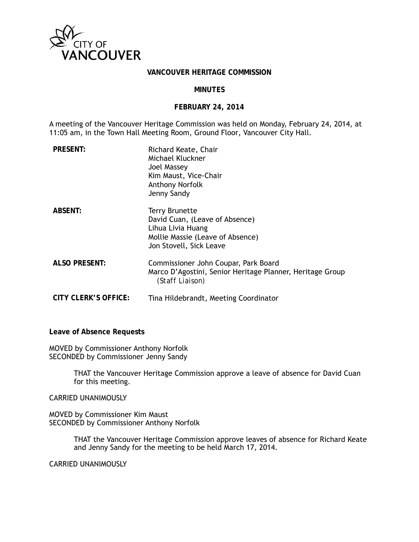

# **VANCOUVER HERITAGE COMMISSION**

#### **MINUTES**

#### **FEBRUARY 24, 2014**

A meeting of the Vancouver Heritage Commission was held on Monday, February 24, 2014, at 11:05 am, in the Town Hall Meeting Room, Ground Floor, Vancouver City Hall.

| <b>PRESENT:</b>      | Richard Keate, Chair<br>Michael Kluckner<br>Joel Massey<br>Kim Maust, Vice-Chair<br>Anthony Norfolk<br>Jenny Sandy                          |
|----------------------|---------------------------------------------------------------------------------------------------------------------------------------------|
| <b>ABSENT:</b>       | <b>Terry Brunette</b><br>David Cuan, (Leave of Absence)<br>Lihua Livia Huang<br>Mollie Massie (Leave of Absence)<br>Jon Stovell, Sick Leave |
| <b>ALSO PRESENT:</b> | Commissioner John Coupar, Park Board<br>Marco D'Agostini, Senior Heritage Planner, Heritage Group<br>(Staff Liaison)                        |
| CITY CLERK'S OFFICE: | Tina Hildebrandt, Meeting Coordinator                                                                                                       |

**Leave of Absence Requests** 

MOVED by Commissioner Anthony Norfolk SECONDED by Commissioner Jenny Sandy

> THAT the Vancouver Heritage Commission approve a leave of absence for David Cuan for this meeting.

CARRIED UNANIMOUSLY

MOVED by Commissioner Kim Maust SECONDED by Commissioner Anthony Norfolk

> THAT the Vancouver Heritage Commission approve leaves of absence for Richard Keate and Jenny Sandy for the meeting to be held March 17, 2014.

CARRIED UNANIMOUSLY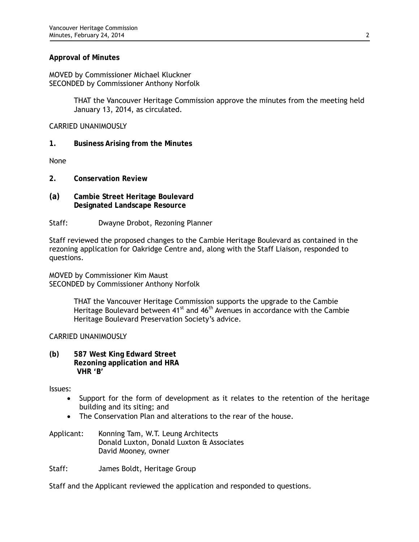## **Approval of Minutes**

MOVED by Commissioner Michael Kluckner SECONDED by Commissioner Anthony Norfolk

> THAT the Vancouver Heritage Commission approve the minutes from the meeting held January 13, 2014, as circulated.

## CARRIED UNANIMOUSLY

**1. Business Arising from the Minutes** 

None

- **2. Conservation Review**
- **(a) Cambie Street Heritage Boulevard Designated Landscape Resource**
- Staff: Dwayne Drobot, Rezoning Planner

Staff reviewed the proposed changes to the Cambie Heritage Boulevard as contained in the rezoning application for Oakridge Centre and, along with the Staff Liaison, responded to questions.

MOVED by Commissioner Kim Maust SECONDED by Commissioner Anthony Norfolk

> THAT the Vancouver Heritage Commission supports the upgrade to the Cambie Heritage Boulevard between 41<sup>st</sup> and 46<sup>th</sup> Avenues in accordance with the Cambie Heritage Boulevard Preservation Society's advice.

#### CARRIED UNANIMOUSLY

**(b) 587 West King Edward Street Rezoning application and HRA VHR 'B'** 

Issues:

- Support for the form of development as it relates to the retention of the heritage building and its siting; and
- The Conservation Plan and alterations to the rear of the house.
- Applicant: Konning Tam, W.T. Leung Architects Donald Luxton, Donald Luxton & Associates David Mooney, owner

Staff: James Boldt, Heritage Group

Staff and the Applicant reviewed the application and responded to questions.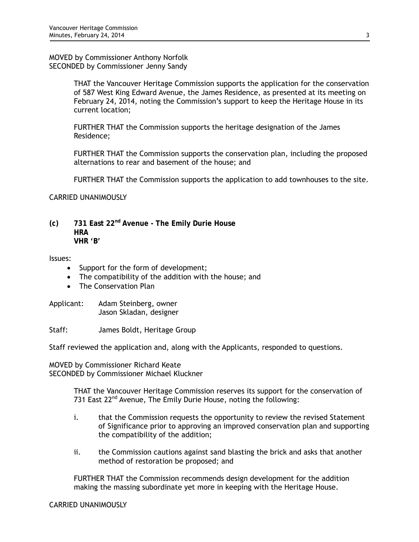MOVED by Commissioner Anthony Norfolk SECONDED by Commissioner Jenny Sandy

> THAT the Vancouver Heritage Commission supports the application for the conservation of 587 West King Edward Avenue, the James Residence, as presented at its meeting on February 24, 2014, noting the Commission's support to keep the Heritage House in its current location;

FURTHER THAT the Commission supports the heritage designation of the James Residence;

FURTHER THAT the Commission supports the conservation plan, including the proposed alternations to rear and basement of the house; and

FURTHER THAT the Commission supports the application to add townhouses to the site.

CARRIED UNANIMOUSLY

**(c) 731 East 22nd Avenue - The Emily Durie House HRA VHR 'B'** 

Issues:

- Support for the form of development;
- The compatibility of the addition with the house; and
- The Conservation Plan

Applicant: Adam Steinberg, owner Jason Skladan, designer

Staff: James Boldt, Heritage Group

Staff reviewed the application and, along with the Applicants, responded to questions.

MOVED by Commissioner Richard Keate SECONDED by Commissioner Michael Kluckner

> THAT the Vancouver Heritage Commission reserves its support for the conservation of 731 East 22<sup>nd</sup> Avenue, The Emily Durie House, noting the following:

- i. that the Commission requests the opportunity to review the revised Statement of Significance prior to approving an improved conservation plan and supporting the compatibility of the addition;
- ii. the Commission cautions against sand blasting the brick and asks that another method of restoration be proposed; and

FURTHER THAT the Commission recommends design development for the addition making the massing subordinate yet more in keeping with the Heritage House.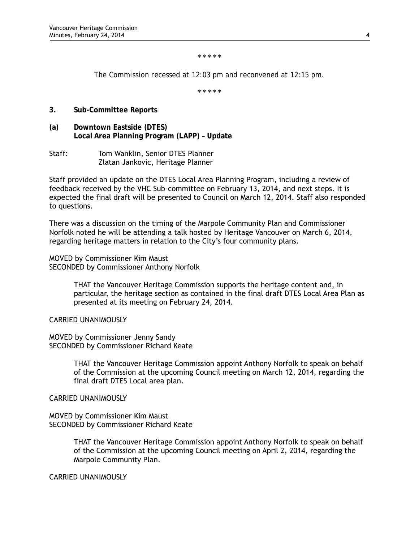*\* \* \* \* \** 

*The Commission recessed at 12:03 pm and reconvened at 12:15 pm.* 

*\* \* \* \* \** 

- **3. Sub-Committee Reports**
- **(a) Downtown Eastside (DTES) Local Area Planning Program (LAPP) – Update**
- Staff: Tom Wanklin, Senior DTES Planner Zlatan Jankovic, Heritage Planner

Staff provided an update on the DTES Local Area Planning Program, including a review of feedback received by the VHC Sub-committee on February 13, 2014, and next steps. It is expected the final draft will be presented to Council on March 12, 2014. Staff also responded to questions.

There was a discussion on the timing of the Marpole Community Plan and Commissioner Norfolk noted he will be attending a talk hosted by Heritage Vancouver on March 6, 2014, regarding heritage matters in relation to the City's four community plans.

MOVED by Commissioner Kim Maust SECONDED by Commissioner Anthony Norfolk

> THAT the Vancouver Heritage Commission supports the heritage content and, in particular, the heritage section as contained in the final draft DTES Local Area Plan as presented at its meeting on February 24, 2014.

CARRIED UNANIMOUSLY

MOVED by Commissioner Jenny Sandy SECONDED by Commissioner Richard Keate

> THAT the Vancouver Heritage Commission appoint Anthony Norfolk to speak on behalf of the Commission at the upcoming Council meeting on March 12, 2014, regarding the final draft DTES Local area plan.

CARRIED UNANIMOUSLY

MOVED by Commissioner Kim Maust SECONDED by Commissioner Richard Keate

> THAT the Vancouver Heritage Commission appoint Anthony Norfolk to speak on behalf of the Commission at the upcoming Council meeting on April 2, 2014, regarding the Marpole Community Plan.

CARRIED UNANIMOUSLY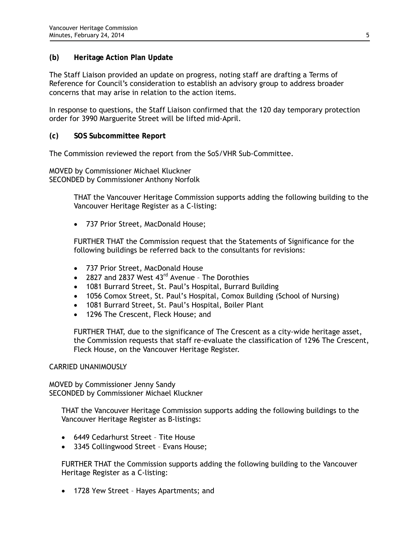## **(b) Heritage Action Plan Update**

The Staff Liaison provided an update on progress, noting staff are drafting a Terms of Reference for Council's consideration to establish an advisory group to address broader concerns that may arise in relation to the action items.

In response to questions, the Staff Liaison confirmed that the 120 day temporary protection order for 3990 Marguerite Street will be lifted mid-April.

## **(c) SOS Subcommittee Report**

The Commission reviewed the report from the SoS/VHR Sub-Committee.

MOVED by Commissioner Michael Kluckner SECONDED by Commissioner Anthony Norfolk

> THAT the Vancouver Heritage Commission supports adding the following building to the Vancouver Heritage Register as a C-listing:

737 Prior Street, MacDonald House;

FURTHER THAT the Commission request that the Statements of Significance for the following buildings be referred back to the consultants for revisions:

- 737 Prior Street, MacDonald House
- 2827 and 2837 West  $43^{\text{rd}}$  Avenue The Dorothies
- 1081 Burrard Street, St. Paul's Hospital, Burrard Building
- 1056 Comox Street, St. Paul's Hospital, Comox Building (School of Nursing)
- 1081 Burrard Street, St. Paul's Hospital, Boiler Plant
- 1296 The Crescent, Fleck House; and

FURTHER THAT, due to the significance of The Crescent as a city-wide heritage asset, the Commission requests that staff re-evaluate the classification of 1296 The Crescent, Fleck House, on the Vancouver Heritage Register.

#### CARRIED UNANIMOUSLY

MOVED by Commissioner Jenny Sandy SECONDED by Commissioner Michael Kluckner

THAT the Vancouver Heritage Commission supports adding the following buildings to the Vancouver Heritage Register as B-listings:

- 6449 Cedarhurst Street Tite House
- 3345 Collingwood Street Evans House;

FURTHER THAT the Commission supports adding the following building to the Vancouver Heritage Register as a C-listing:

• 1728 Yew Street - Hayes Apartments; and